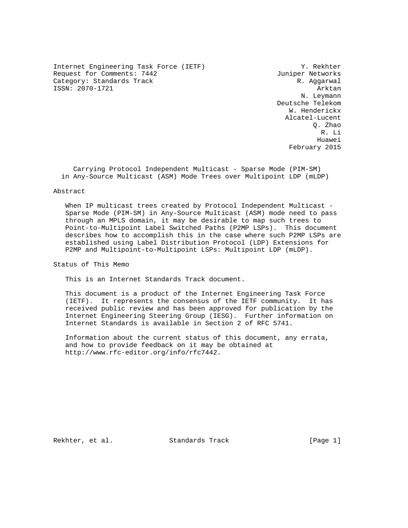Internet Engineering Task Force (IETF) Y. Rekhter Request for Comments: 7442 Juniper Networks Category: Standards Track R. Aggarwal ISSN: 2070-1721 Arktan

 N. Leymann Deutsche Telekom W. Henderickx Alcatel-Lucent Q. Zhao R. Li he distributed by the control of the control of the control of the control of the control of the control of the control of the control of the control of the control of the control of the control of the control of the contr February 2015

 Carrying Protocol Independent Multicast - Sparse Mode (PIM-SM) in Any-Source Multicast (ASM) Mode Trees over Multipoint LDP (mLDP)

#### Abstract

 When IP multicast trees created by Protocol Independent Multicast - Sparse Mode (PIM-SM) in Any-Source Multicast (ASM) mode need to pass through an MPLS domain, it may be desirable to map such trees to Point-to-Multipoint Label Switched Paths (P2MP LSPs). This document describes how to accomplish this in the case where such P2MP LSPs are established using Label Distribution Protocol (LDP) Extensions for P2MP and Multipoint-to-Multipoint LSPs: Multipoint LDP (mLDP).

Status of This Memo

This is an Internet Standards Track document.

 This document is a product of the Internet Engineering Task Force (IETF). It represents the consensus of the IETF community. It has received public review and has been approved for publication by the Internet Engineering Steering Group (IESG). Further information on Internet Standards is available in Section 2 of RFC 5741.

 Information about the current status of this document, any errata, and how to provide feedback on it may be obtained at http://www.rfc-editor.org/info/rfc7442.

Rekhter, et al. Standards Track [Page 1]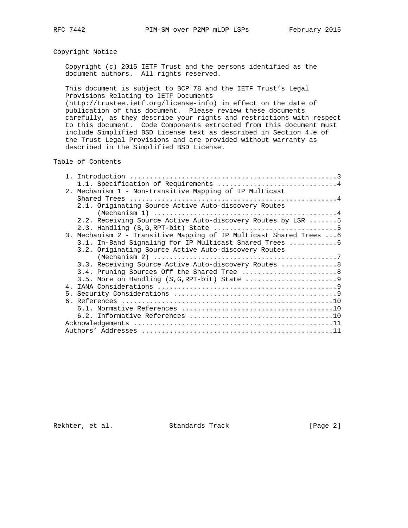# Copyright Notice

 Copyright (c) 2015 IETF Trust and the persons identified as the document authors. All rights reserved.

 This document is subject to BCP 78 and the IETF Trust's Legal Provisions Relating to IETF Documents (http://trustee.ietf.org/license-info) in effect on the date of publication of this document. Please review these documents carefully, as they describe your rights and restrictions with respect to this document. Code Components extracted from this document must

 include Simplified BSD License text as described in Section 4.e of the Trust Legal Provisions and are provided without warranty as described in the Simplified BSD License.

Table of Contents

|  | 2. Mechanism 1 - Non-transitive Mapping of IP Multicast            |
|--|--------------------------------------------------------------------|
|  |                                                                    |
|  | 2.1. Originating Source Active Auto-discovery Routes               |
|  |                                                                    |
|  | 2.2. Receiving Source Active Auto-discovery Routes by LSR 5        |
|  |                                                                    |
|  | 3. Mechanism 2 - Transitive Mapping of IP Multicast Shared Trees 6 |
|  | 3.1. In-Band Signaling for IP Multicast Shared Trees 6             |
|  | 3.2. Originating Source Active Auto-discovery Routes               |
|  | $(Mechanism 2)            7$                                       |
|  | 3.3. Receiving Source Active Auto-discovery Routes  8              |
|  | 3.4. Pruning Sources Off the Shared Tree 8                         |
|  |                                                                    |
|  |                                                                    |
|  |                                                                    |
|  |                                                                    |
|  |                                                                    |
|  |                                                                    |
|  |                                                                    |
|  |                                                                    |

Rekhter, et al. Standards Track [Page 2]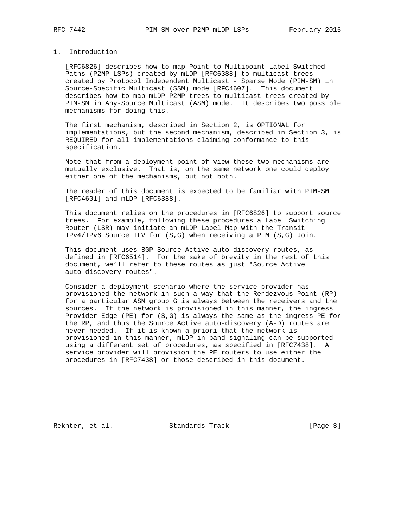### 1. Introduction

 [RFC6826] describes how to map Point-to-Multipoint Label Switched Paths (P2MP LSPs) created by mLDP [RFC6388] to multicast trees created by Protocol Independent Multicast - Sparse Mode (PIM-SM) in Source-Specific Multicast (SSM) mode [RFC4607]. This document describes how to map mLDP P2MP trees to multicast trees created by PIM-SM in Any-Source Multicast (ASM) mode. It describes two possible mechanisms for doing this.

 The first mechanism, described in Section 2, is OPTIONAL for implementations, but the second mechanism, described in Section 3, is REQUIRED for all implementations claiming conformance to this specification.

 Note that from a deployment point of view these two mechanisms are mutually exclusive. That is, on the same network one could deploy either one of the mechanisms, but not both.

 The reader of this document is expected to be familiar with PIM-SM [RFC4601] and mLDP [RFC6388].

 This document relies on the procedures in [RFC6826] to support source trees. For example, following these procedures a Label Switching Router (LSR) may initiate an mLDP Label Map with the Transit IPv4/IPv6 Source TLV for (S,G) when receiving a PIM (S,G) Join.

 This document uses BGP Source Active auto-discovery routes, as defined in [RFC6514]. For the sake of brevity in the rest of this document, we'll refer to these routes as just "Source Active auto-discovery routes".

 Consider a deployment scenario where the service provider has provisioned the network in such a way that the Rendezvous Point (RP) for a particular ASM group G is always between the receivers and the sources. If the network is provisioned in this manner, the ingress Provider Edge (PE) for (S,G) is always the same as the ingress PE for the RP, and thus the Source Active auto-discovery (A-D) routes are never needed. If it is known a priori that the network is provisioned in this manner, mLDP in-band signaling can be supported using a different set of procedures, as specified in [RFC7438]. A service provider will provision the PE routers to use either the procedures in [RFC7438] or those described in this document.

Rekhter, et al. Standards Track [Page 3]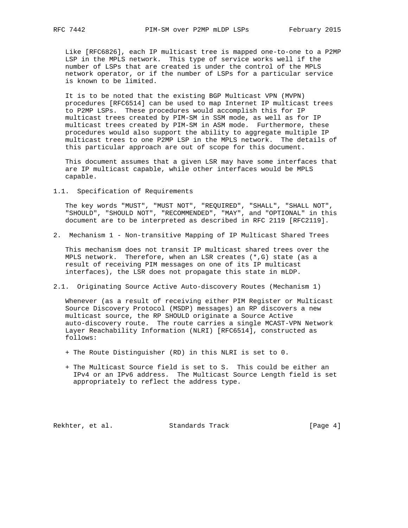Like [RFC6826], each IP multicast tree is mapped one-to-one to a P2MP LSP in the MPLS network. This type of service works well if the number of LSPs that are created is under the control of the MPLS network operator, or if the number of LSPs for a particular service is known to be limited.

 It is to be noted that the existing BGP Multicast VPN (MVPN) procedures [RFC6514] can be used to map Internet IP multicast trees to P2MP LSPs. These procedures would accomplish this for IP multicast trees created by PIM-SM in SSM mode, as well as for IP multicast trees created by PIM-SM in ASM mode. Furthermore, these procedures would also support the ability to aggregate multiple IP multicast trees to one P2MP LSP in the MPLS network. The details of this particular approach are out of scope for this document.

 This document assumes that a given LSR may have some interfaces that are IP multicast capable, while other interfaces would be MPLS capable.

1.1. Specification of Requirements

 The key words "MUST", "MUST NOT", "REQUIRED", "SHALL", "SHALL NOT", "SHOULD", "SHOULD NOT", "RECOMMENDED", "MAY", and "OPTIONAL" in this document are to be interpreted as described in RFC 2119 [RFC2119].

2. Mechanism 1 - Non-transitive Mapping of IP Multicast Shared Trees

 This mechanism does not transit IP multicast shared trees over the MPLS network. Therefore, when an LSR creates (\*,G) state (as a result of receiving PIM messages on one of its IP multicast interfaces), the LSR does not propagate this state in mLDP.

2.1. Originating Source Active Auto-discovery Routes (Mechanism 1)

 Whenever (as a result of receiving either PIM Register or Multicast Source Discovery Protocol (MSDP) messages) an RP discovers a new multicast source, the RP SHOULD originate a Source Active auto-discovery route. The route carries a single MCAST-VPN Network Layer Reachability Information (NLRI) [RFC6514], constructed as follows:

- + The Route Distinguisher (RD) in this NLRI is set to 0.
- + The Multicast Source field is set to S. This could be either an IPv4 or an IPv6 address. The Multicast Source Length field is set appropriately to reflect the address type.

Rekhter, et al. Standards Track [Page 4]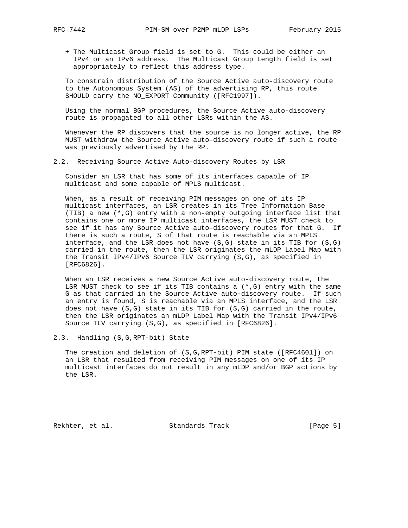+ The Multicast Group field is set to G. This could be either an IPv4 or an IPv6 address. The Multicast Group Length field is set appropriately to reflect this address type.

 To constrain distribution of the Source Active auto-discovery route to the Autonomous System (AS) of the advertising RP, this route SHOULD carry the NO\_EXPORT Community ([RFC1997]).

 Using the normal BGP procedures, the Source Active auto-discovery route is propagated to all other LSRs within the AS.

Whenever the RP discovers that the source is no longer active, the RP MUST withdraw the Source Active auto-discovery route if such a route was previously advertised by the RP.

2.2. Receiving Source Active Auto-discovery Routes by LSR

 Consider an LSR that has some of its interfaces capable of IP multicast and some capable of MPLS multicast.

 When, as a result of receiving PIM messages on one of its IP multicast interfaces, an LSR creates in its Tree Information Base (TIB) a new (\*,G) entry with a non-empty outgoing interface list that contains one or more IP multicast interfaces, the LSR MUST check to see if it has any Source Active auto-discovery routes for that G. If there is such a route, S of that route is reachable via an MPLS interface, and the LSR does not have  $(S,G)$  state in its TIB for  $(S,G)$  carried in the route, then the LSR originates the mLDP Label Map with the Transit IPv4/IPv6 Source TLV carrying (S,G), as specified in [RFC6826].

 When an LSR receives a new Source Active auto-discovery route, the LSR MUST check to see if its TIB contains a  $(*, G)$  entry with the same G as that carried in the Source Active auto-discovery route. If such an entry is found, S is reachable via an MPLS interface, and the LSR does not have (S,G) state in its TIB for (S,G) carried in the route, then the LSR originates an mLDP Label Map with the Transit IPv4/IPv6 Source TLV carrying (S,G), as specified in [RFC6826].

2.3. Handling (S,G,RPT-bit) State

 The creation and deletion of (S,G,RPT-bit) PIM state ([RFC4601]) on an LSR that resulted from receiving PIM messages on one of its IP multicast interfaces do not result in any mLDP and/or BGP actions by the LSR.

Rekhter, et al. Standards Track [Page 5]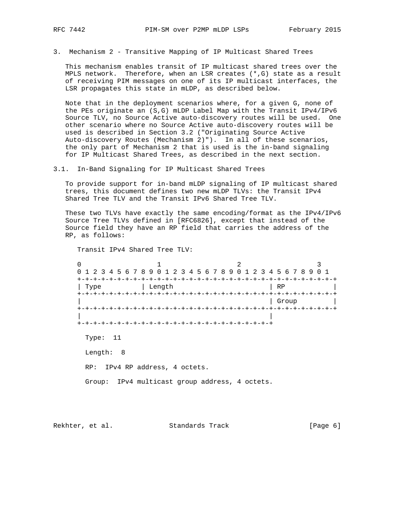3. Mechanism 2 - Transitive Mapping of IP Multicast Shared Trees

 This mechanism enables transit of IP multicast shared trees over the MPLS network. Therefore, when an LSR creates (\*,G) state as a result of receiving PIM messages on one of its IP multicast interfaces, the LSR propagates this state in mLDP, as described below.

 Note that in the deployment scenarios where, for a given G, none of the PEs originate an (S,G) mLDP Label Map with the Transit IPv4/IPv6 Source TLV, no Source Active auto-discovery routes will be used. One other scenario where no Source Active auto-discovery routes will be used is described in Section 3.2 ("Originating Source Active Auto-discovery Routes (Mechanism 2)"). In all of these scenarios, the only part of Mechanism 2 that is used is the in-band signaling for IP Multicast Shared Trees, as described in the next section.

3.1. In-Band Signaling for IP Multicast Shared Trees

 To provide support for in-band mLDP signaling of IP multicast shared trees, this document defines two new mLDP TLVs: the Transit IPv4 Shared Tree TLV and the Transit IPv6 Shared Tree TLV.

 These two TLVs have exactly the same encoding/format as the IPv4/IPv6 Source Tree TLVs defined in [RFC6826], except that instead of the Source field they have an RP field that carries the address of the RP, as follows:

Transit IPv4 Shared Tree TLV:

0  $1$   $2$   $3$  0 1 2 3 4 5 6 7 8 9 0 1 2 3 4 5 6 7 8 9 0 1 2 3 4 5 6 7 8 9 0 1 +-+-+-+-+-+-+-+-+-+-+-+-+-+-+-+-+-+-+-+-+-+-+-+-+-+-+-+-+-+-+-+-+ | Type | Length | RP +-+-+-+-+-+-+-+-+-+-+-+-+-+-+-+-+-+-+-+-+-+-+-+-+-+-+-+-+-+-+-+-+ | | Group | +-+-+-+-+-+-+-+-+-+-+-+-+-+-+-+-+-+-+-+-+-+-+-+-+-+-+-+-+-+-+-+-+ | | +-+-+-+-+-+-+-+-+-+-+-+-+-+-+-+-+-+-+-+-+-+-+-+-+ Type: 11 Length: 8 RP: IPv4 RP address, 4 octets. Group: IPv4 multicast group address, 4 octets.

Rekhter, et al. Standards Track [Page 6]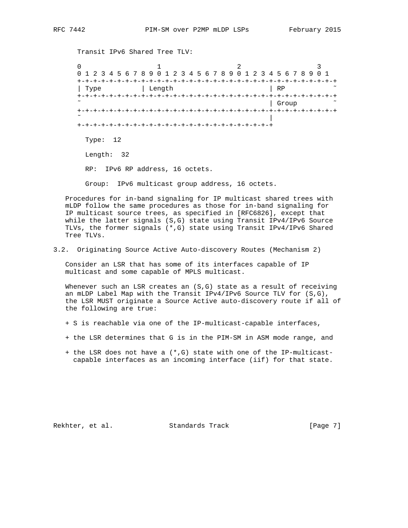Transit IPv6 Shared Tree TLV:

0  $1$   $2$   $3$  0 1 2 3 4 5 6 7 8 9 0 1 2 3 4 5 6 7 8 9 0 1 2 3 4 5 6 7 8 9 0 1 +-+-+-+-+-+-+-+-+-+-+-+-+-+-+-+-+-+-+-+-+-+-+-+-+-+-+-+-+-+-+-+-+ | Type | Length | RP +-+-+-+-+-+-+-+-+-+-+-+-+-+-+-+-+-+-+-+-+-+-+-+-+-+-+-+-+-+-+-+-+ | Group +-+-+-+-+-+-+-+-+-+-+-+-+-+-+-+-+-+-+-+-+-+-+-+-+-+-+-+-+-+-+-+-+ ˜ | +-+-+-+-+-+-+-+-+-+-+-+-+-+-+-+-+-+-+-+-+-+-+-+-+ Type: 12 Length: 32 RP: IPv6 RP address, 16 octets. Group: IPv6 multicast group address, 16 octets.

 Procedures for in-band signaling for IP multicast shared trees with mLDP follow the same procedures as those for in-band signaling for IP multicast source trees, as specified in [RFC6826], except that while the latter signals (S,G) state using Transit IPv4/IPv6 Source TLVs, the former signals (\*,G) state using Transit IPv4/IPv6 Shared Tree TLVs.

3.2. Originating Source Active Auto-discovery Routes (Mechanism 2)

 Consider an LSR that has some of its interfaces capable of IP multicast and some capable of MPLS multicast.

Whenever such an LSR creates an  $(S, G)$  state as a result of receiving an mLDP Label Map with the Transit IPv4/IPv6 Source TLV for (S,G), the LSR MUST originate a Source Active auto-discovery route if all of the following are true:

- + S is reachable via one of the IP-multicast-capable interfaces,
- + the LSR determines that G is in the PIM-SM in ASM mode range, and
- + the LSR does not have a (\*,G) state with one of the IP-multicast capable interfaces as an incoming interface (iif) for that state.

Rekhter, et al. Standards Track [Page 7]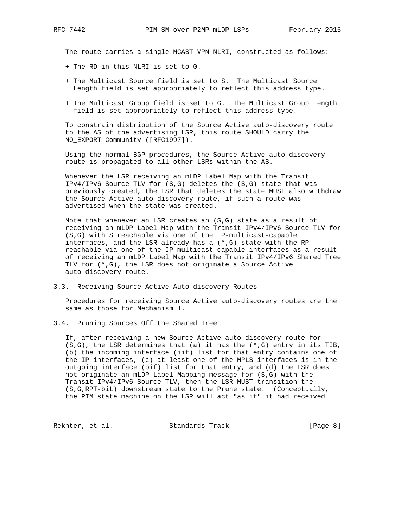The route carries a single MCAST-VPN NLRI, constructed as follows:

- + The RD in this NLRI is set to 0.
- + The Multicast Source field is set to S. The Multicast Source Length field is set appropriately to reflect this address type.
- + The Multicast Group field is set to G. The Multicast Group Length field is set appropriately to reflect this address type.

 To constrain distribution of the Source Active auto-discovery route to the AS of the advertising LSR, this route SHOULD carry the NO\_EXPORT Community ([RFC1997]).

 Using the normal BGP procedures, the Source Active auto-discovery route is propagated to all other LSRs within the AS.

 Whenever the LSR receiving an mLDP Label Map with the Transit IPv4/IPv6 Source TLV for (S,G) deletes the (S,G) state that was previously created, the LSR that deletes the state MUST also withdraw the Source Active auto-discovery route, if such a route was advertised when the state was created.

 Note that whenever an LSR creates an (S,G) state as a result of receiving an mLDP Label Map with the Transit IPv4/IPv6 Source TLV for (S,G) with S reachable via one of the IP-multicast-capable interfaces, and the LSR already has a  $(*$ , G) state with the RP reachable via one of the IP-multicast-capable interfaces as a result of receiving an mLDP Label Map with the Transit IPv4/IPv6 Shared Tree TLV for (\*,G), the LSR does not originate a Source Active auto-discovery route.

3.3. Receiving Source Active Auto-discovery Routes

 Procedures for receiving Source Active auto-discovery routes are the same as those for Mechanism 1.

3.4. Pruning Sources Off the Shared Tree

 If, after receiving a new Source Active auto-discovery route for  $(S,G)$ , the LSR determines that (a) it has the  $(*,G)$  entry in its TIB, (b) the incoming interface (iif) list for that entry contains one of the IP interfaces, (c) at least one of the MPLS interfaces is in the outgoing interface (oif) list for that entry, and (d) the LSR does not originate an mLDP Label Mapping message for (S,G) with the Transit IPv4/IPv6 Source TLV, then the LSR MUST transition the (S,G,RPT-bit) downstream state to the Prune state. (Conceptually, the PIM state machine on the LSR will act "as if" it had received

Rekhter, et al. Standards Track [Page 8]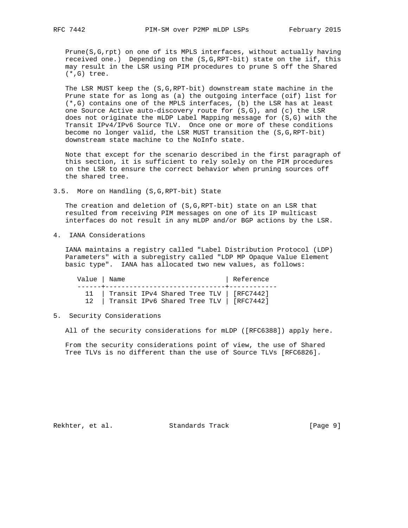Prune(S,G,rpt) on one of its MPLS interfaces, without actually having received one.) Depending on the (S,G,RPT-bit) state on the iif, this may result in the LSR using PIM procedures to prune S off the Shared (\*,G) tree.

 The LSR MUST keep the (S,G,RPT-bit) downstream state machine in the Prune state for as long as (a) the outgoing interface (oif) list for (\*,G) contains one of the MPLS interfaces, (b) the LSR has at least one Source Active auto-discovery route for (S,G), and (c) the LSR does not originate the mLDP Label Mapping message for (S,G) with the Transit IPv4/IPv6 Source TLV. Once one or more of these conditions become no longer valid, the LSR MUST transition the (S,G,RPT-bit) downstream state machine to the NoInfo state.

 Note that except for the scenario described in the first paragraph of this section, it is sufficient to rely solely on the PIM procedures on the LSR to ensure the correct behavior when pruning sources off the shared tree.

3.5. More on Handling (S,G,RPT-bit) State

 The creation and deletion of (S,G,RPT-bit) state on an LSR that resulted from receiving PIM messages on one of its IP multicast interfaces do not result in any mLDP and/or BGP actions by the LSR.

4. IANA Considerations

 IANA maintains a registry called "Label Distribution Protocol (LDP) Parameters" with a subregistry called "LDP MP Opaque Value Element basic type". IANA has allocated two new values, as follows:

Value | Name | Name | Reference ------+------------------------------+------------ 11 | Transit IPv4 Shared Tree TLV | [RFC7442] 12 | Transit IPv6 Shared Tree TLV | [RFC7442]

5. Security Considerations

All of the security considerations for mLDP ([RFC6388]) apply here.

 From the security considerations point of view, the use of Shared Tree TLVs is no different than the use of Source TLVs [RFC6826].

Rekhter, et al. Standards Track [Page 9]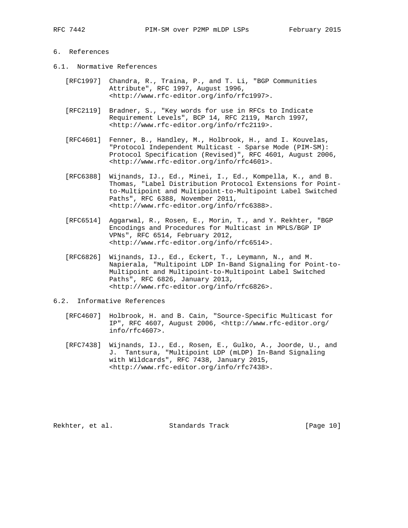## 6. References

- 6.1. Normative References
	- [RFC1997] Chandra, R., Traina, P., and T. Li, "BGP Communities Attribute", RFC 1997, August 1996, <http://www.rfc-editor.org/info/rfc1997>.
	- [RFC2119] Bradner, S., "Key words for use in RFCs to Indicate Requirement Levels", BCP 14, RFC 2119, March 1997, <http://www.rfc-editor.org/info/rfc2119>.
	- [RFC4601] Fenner, B., Handley, M., Holbrook, H., and I. Kouvelas, "Protocol Independent Multicast - Sparse Mode (PIM-SM): Protocol Specification (Revised)", RFC 4601, August 2006, <http://www.rfc-editor.org/info/rfc4601>.
	- [RFC6388] Wijnands, IJ., Ed., Minei, I., Ed., Kompella, K., and B. Thomas, "Label Distribution Protocol Extensions for Point to-Multipoint and Multipoint-to-Multipoint Label Switched Paths", RFC 6388, November 2011, <http://www.rfc-editor.org/info/rfc6388>.
	- [RFC6514] Aggarwal, R., Rosen, E., Morin, T., and Y. Rekhter, "BGP Encodings and Procedures for Multicast in MPLS/BGP IP VPNs", RFC 6514, February 2012, <http://www.rfc-editor.org/info/rfc6514>.
	- [RFC6826] Wijnands, IJ., Ed., Eckert, T., Leymann, N., and M. Napierala, "Multipoint LDP In-Band Signaling for Point-to- Multipoint and Multipoint-to-Multipoint Label Switched Paths", RFC 6826, January 2013, <http://www.rfc-editor.org/info/rfc6826>.

#### 6.2. Informative References

- [RFC4607] Holbrook, H. and B. Cain, "Source-Specific Multicast for IP", RFC 4607, August 2006, <http://www.rfc-editor.org/ info/rfc4607>.
- [RFC7438] Wijnands, IJ., Ed., Rosen, E., Gulko, A., Joorde, U., and J. Tantsura, "Multipoint LDP (mLDP) In-Band Signaling with Wildcards", RFC 7438, January 2015, <http://www.rfc-editor.org/info/rfc7438>.

Rekhter, et al. Standards Track [Page 10]